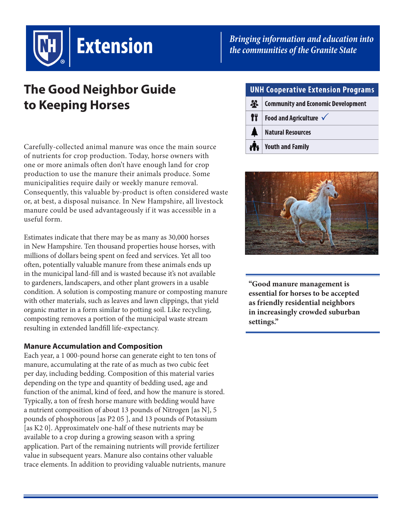# **Extension**

## *Bringing information and education into the communities of the Granite State*

# **The Good Neighbor Guide to Keeping Horses**

Carefully-collected animal manure was once the main source of nutrients for crop production. Today, horse owners with one or more animals often don't have enough land for crop production to use the manure their animals produce. Some municipalities require daily or weekly manure removal. Consequently, this valuable by-product is often considered waste or, at best, a disposal nuisance. In New Hampshire, all livestock manure could be used advantageously if it was accessible in a useful form.

Estimates indicate that there may be as many as 30,000 horses in New Hampshire. Ten thousand properties house horses, with millions of dollars being spent on feed and services. Yet all too often, potentially valuable manure from these animals ends up in the municipal land-fill and is wasted because it's not available to gardeners, landscapers, and other plant growers in a usable condition. A solution is composting manure or composting manure with other materials, such as leaves and lawn clippings, that yield organic matter in a form similar to potting soil. Like recycling, composting removes a portion of the municipal waste stream resulting in extended landfill life-expectancy.

#### **Manure Accumulation and Composition**

Each year, a 1 000-pound horse can generate eight to ten tons of manure, accumulating at the rate of as much as two cubic feet per day, including bedding. Composition of this material varies depending on the type and quantity of bedding used, age and function of the animal, kind of feed, and how the manure is stored. Typically, a ton of fresh horse manure with bedding would have a nutrient composition of about 13 pounds of Nitrogen [as N], 5 pounds of phosphorous [as P2 05 ], and 13 pounds of Potassium [as K2 0]. Approximately one-half of these nutrients may be available to a crop during a growing season with a spring application. Part of the remaining nutrients will provide fertilizer value in subsequent years. Manure also contains other valuable trace elements. In addition to providing valuable nutrients, manure

#### **UNH Cooperative Extension Programs**  $\boldsymbol{\Omega}$ **Community and Economic Development**

- ŦŦ. Food and Agriculture  $\checkmark$
- **Natural Resources**
- **As** | Youth and Family



**"Good manure management is essential for horses to be accepted as friendly residential neighbors in increasingly crowded suburban settings."**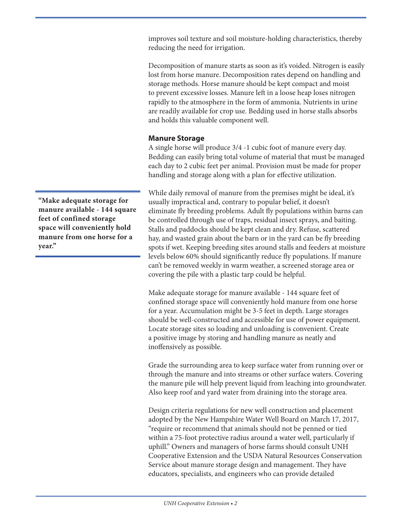improves soil texture and soil moisture-holding characteristics, thereby reducing the need for irrigation.

Decomposition of manure starts as soon as it's voided. Nitrogen is easily lost from horse manure. Decomposition rates depend on handling and storage methods. Horse manure should be kept compact and moist to prevent excessive losses. Manure left in a loose heap loses nitrogen rapidly to the atmosphere in the form of ammonia. Nutrients in urine are readily available for crop use. Bedding used in horse stalls absorbs and holds this valuable component well.

#### **Manure Storage**

A single horse will produce 3/4 -1 cubic foot of manure every day. Bedding can easily bring total volume of material that must be managed each day to 2 cubic feet per animal. Provision must be made for proper handling and storage along with a plan for effective utilization.

While daily removal of manure from the premises might be ideal, it's usually impractical and, contrary to popular belief, it doesn't eliminate fly breeding problems. Adult fly populations within barns can be controlled through use of traps, residual insect sprays, and baiting. Stalls and paddocks should be kept clean and dry. Refuse, scattered hay, and wasted grain about the barn or in the yard can be fly breeding spots if wet. Keeping breeding sites around stalls and feeders at moisture levels below 60% should significantly reduce fly populations. If manure can't be removed weekly in warm weather, a screened storage area or covering the pile with a plastic tarp could be helpful.

Make adequate storage for manure available - 144 square feet of confined storage space will conveniently hold manure from one horse for a year. Accumulation might be 3-5 feet in depth. Large storages should be well-constructed and accessible for use of power equipment. Locate storage sites so loading and unloading is convenient. Create a positive image by storing and handling manure as neatly and inoffensively as possible.

Grade the surrounding area to keep surface water from running over or through the manure and into streams or other surface waters. Covering the manure pile will help prevent liquid from leaching into groundwater. Also keep roof and yard water from draining into the storage area.

Design criteria regulations for new well construction and placement adopted by the New Hampshire Water Well Board on March 17, 2017, "require or recommend that animals should not be penned or tied within a 75-foot protective radius around a water well, particularly if uphill." Owners and managers of horse farms should consult UNH Cooperative Extension and the USDA Natural Resources Conservation Service about manure storage design and management. They have educators, specialists, and engineers who can provide detailed

**"Make adequate storage for manure available - 144 square feet of confined storage space will conveniently hold manure from one horse for a year."**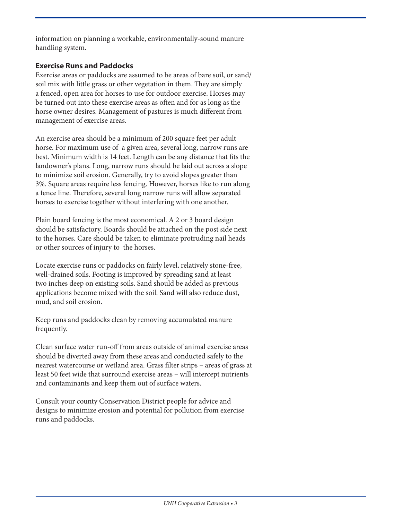information on planning a workable, environmentally-sound manure handling system.

#### **Exercise Runs and Paddocks**

Exercise areas or paddocks are assumed to be areas of bare soil, or sand/ soil mix with little grass or other vegetation in them. They are simply a fenced, open area for horses to use for outdoor exercise. Horses may be turned out into these exercise areas as often and for as long as the horse owner desires. Management of pastures is much different from management of exercise areas.

An exercise area should be a minimum of 200 square feet per adult horse. For maximum use of a given area, several long, narrow runs are best. Minimum width is 14 feet. Length can be any distance that fits the landowner's plans. Long, narrow runs should be laid out across a slope to minimize soil erosion. Generally, try to avoid slopes greater than 3%. Square areas require less fencing. However, horses like to run along a fence line. Therefore, several long narrow runs will allow separated horses to exercise together without interfering with one another.

Plain board fencing is the most economical. A 2 or 3 board design should be satisfactory. Boards should be attached on the post side next to the horses. Care should be taken to eliminate protruding nail heads or other sources of injury to the horses.

Locate exercise runs or paddocks on fairly level, relatively stone-free, well-drained soils. Footing is improved by spreading sand at least two inches deep on existing soils. Sand should be added as previous applications become mixed with the soil. Sand will also reduce dust, mud, and soil erosion.

Keep runs and paddocks clean by removing accumulated manure frequently.

Clean surface water run-off from areas outside of animal exercise areas should be diverted away from these areas and conducted safely to the nearest watercourse or wetland area. Grass filter strips – areas of grass at least 50 feet wide that surround exercise areas – will intercept nutrients and contaminants and keep them out of surface waters.

Consult your county Conservation District people for advice and designs to minimize erosion and potential for pollution from exercise runs and paddocks.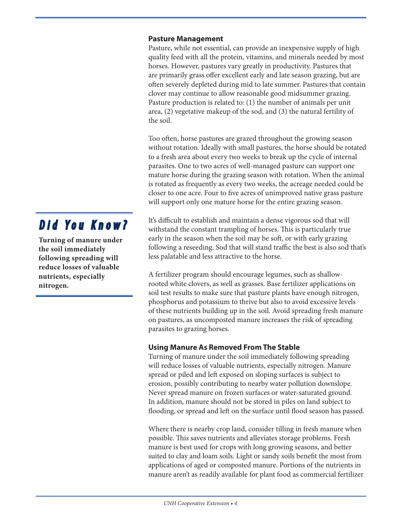#### **Pasture Management**

Pasture, while not essential, can provide an inexpensive supply of high quality feed with all the protein, vitamins, and minerals needed by most horses. However, pastures vary greatly in productivity. Pastures that are primarily grass offer excellent early and late season grazing, but are often severely depleted during mid to late summer. Pastures that contain clover may continue to allow reasonable good midsummer grazing. Pasture production is related to: (1) the number of animals per unit area, (2) vegetative makeup of the sod, and (3) the natural fertility of the soil.

Too often, horse pastures are grazed throughout the growing season without rotation. Ideally with small pastures, the horse should be rotated to a fresh area about every two weeks to break up the cycle of internal parasites. One to two acres of well-managed pasture can support one mature horse during the grazing season with rotation. When the animal is rotated as frequently as every two weeks, the acreage needed could be closer to one acre. Four to five acres of unimproved native grass pasture will support only one mature horse for the entire grazing season.

It's difficult to establish and maintain a dense vigorous sod that will withstand the constant trampling of horses. This is particularly true early in the season when the soil may be soft, or with early grazing following a reseeding. Sod that will stand traffic the best is also sod that's less palatable and less attractive to the horse.

A fertilizer program should encourage legumes, such as shallowrooted white clovers, as well as grasses. Base fertilizer applications on soil test results to make sure that pasture plants have enough nitrogen, phosphorus and potassium to thrive but also to avoid excessive levels of these nutrients building up in the soil. Avoid spreading fresh manure on pastures, as uncomposted manure increases the risk of spreading parasites to grazing horses.

#### **Using Manure As Removed From The Stable**

Turning of manure under the soil immediately following spreading will reduce losses of valuable nutrients, especially nitrogen. Manure spread or piled and left exposed on sloping surfaces is subject to erosion, possibly contributing to nearby water pollution downslope. Never spread manure on frozen surfaces or water-saturated ground. In addition, manure should not be stored in piles on land subject to flooding, or spread and left on the surface until flood season has passed.

Where there is nearby crop land, consider tilling in fresh manure when possible. This saves nutrients and alleviates storage problems. Fresh manure is best used for crops with long growing seasons, and better suited to clay and loam soils. Light or sandy soils benefit the most from applications of aged or composted manure. Portions of the nutrients in manure aren't as readily available for plant food as commercial fertilizer

## *Did You Know?*

**Turning of manure under the soil immediately following spreading will reduce losses of valuable nutrients, especially nitrogen.**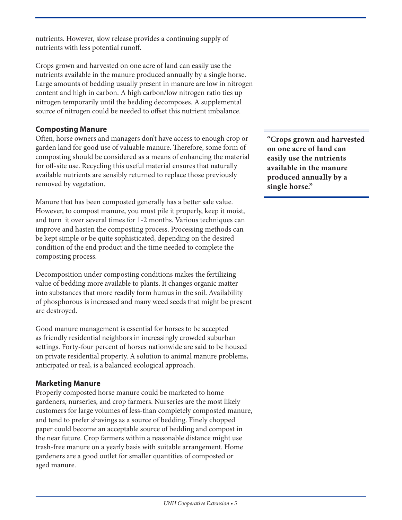nutrients. However, slow release provides a continuing supply of nutrients with less potential runoff.

Crops grown and harvested on one acre of land can easily use the nutrients available in the manure produced annually by a single horse. Large amounts of bedding usually present in manure are low in nitrogen content and high in carbon. A high carbon/low nitrogen ratio ties up nitrogen temporarily until the bedding decomposes. A supplemental source of nitrogen could be needed to offset this nutrient imbalance.

#### **Composting Manure**

Often, horse owners and managers don't have access to enough crop or garden land for good use of valuable manure. Therefore, some form of composting should be considered as a means of enhancing the material for off-site use. Recycling this useful material ensures that naturally available nutrients are sensibly returned to replace those previously removed by vegetation.

Manure that has been composted generally has a better sale value. However, to compost manure, you must pile it properly, keep it moist, and turn it over several times for 1-2 months. Various techniques can improve and hasten the composting process. Processing methods can be kept simple or be quite sophisticated, depending on the desired condition of the end product and the time needed to complete the composting process.

Decomposition under composting conditions makes the fertilizing value of bedding more available to plants. It changes organic matter into substances that more readily form humus in the soil. Availability of phosphorous is increased and many weed seeds that might be present are destroyed.

Good manure management is essential for horses to be accepted as friendly residential neighbors in increasingly crowded suburban settings. Forty-four percent of horses nationwide are said to be housed on private residential property. A solution to animal manure problems, anticipated or real, is a balanced ecological approach.

#### **Marketing Manure**

Properly composted horse manure could be marketed to home gardeners, nurseries, and crop farmers. Nurseries are the most likely customers for large volumes of less-than completely composted manure, and tend to prefer shavings as a source of bedding. Finely chopped paper could become an acceptable source of bedding and compost in the near future. Crop farmers within a reasonable distance might use trash-free manure on a yearly basis with suitable arrangement. Home gardeners are a good outlet for smaller quantities of composted or aged manure.

**"Crops grown and harvested on one acre of land can easily use the nutrients available in the manure produced annually by a single horse."**